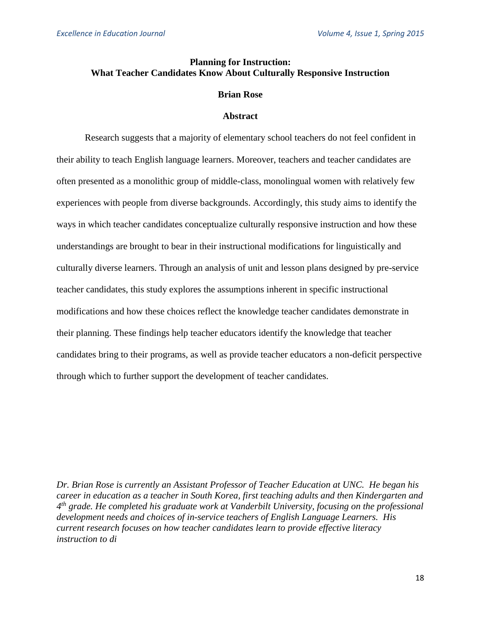# **Planning for Instruction: What Teacher Candidates Know About Culturally Responsive Instruction**

#### **Brian Rose**

#### **Abstract**

Research suggests that a majority of elementary school teachers do not feel confident in their ability to teach English language learners. Moreover, teachers and teacher candidates are often presented as a monolithic group of middle-class, monolingual women with relatively few experiences with people from diverse backgrounds. Accordingly, this study aims to identify the ways in which teacher candidates conceptualize culturally responsive instruction and how these understandings are brought to bear in their instructional modifications for linguistically and culturally diverse learners. Through an analysis of unit and lesson plans designed by pre-service teacher candidates, this study explores the assumptions inherent in specific instructional modifications and how these choices reflect the knowledge teacher candidates demonstrate in their planning. These findings help teacher educators identify the knowledge that teacher candidates bring to their programs, as well as provide teacher educators a non-deficit perspective through which to further support the development of teacher candidates.

*Dr. Brian Rose is currently an Assistant Professor of Teacher Education at UNC. He began his career in education as a teacher in South Korea, first teaching adults and then Kindergarten and 4 th grade. He completed his graduate work at Vanderbilt University, focusing on the professional development needs and choices of in-service teachers of English Language Learners. His current research focuses on how teacher candidates learn to provide effective literacy instruction to di*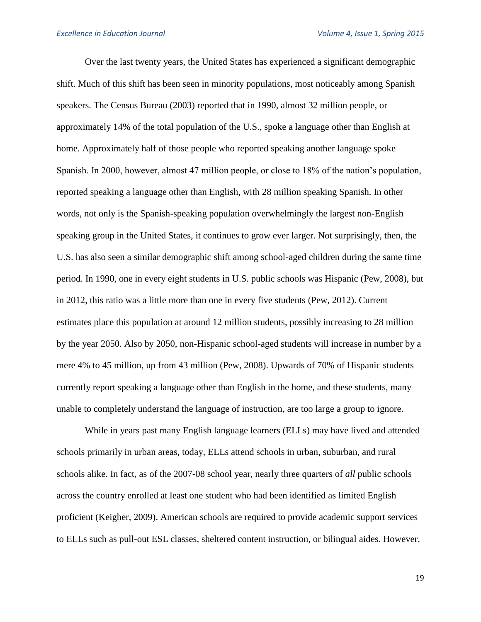Over the last twenty years, the United States has experienced a significant demographic shift. Much of this shift has been seen in minority populations, most noticeably among Spanish speakers. The Census Bureau (2003) reported that in 1990, almost 32 million people, or approximately 14% of the total population of the U.S., spoke a language other than English at home. Approximately half of those people who reported speaking another language spoke Spanish. In 2000, however, almost 47 million people, or close to 18% of the nation's population, reported speaking a language other than English, with 28 million speaking Spanish. In other words, not only is the Spanish-speaking population overwhelmingly the largest non-English speaking group in the United States, it continues to grow ever larger. Not surprisingly, then, the U.S. has also seen a similar demographic shift among school-aged children during the same time period. In 1990, one in every eight students in U.S. public schools was Hispanic (Pew, 2008), but in 2012, this ratio was a little more than one in every five students (Pew, 2012). Current estimates place this population at around 12 million students, possibly increasing to 28 million by the year 2050. Also by 2050, non-Hispanic school-aged students will increase in number by a mere 4% to 45 million, up from 43 million (Pew, 2008). Upwards of 70% of Hispanic students currently report speaking a language other than English in the home, and these students, many unable to completely understand the language of instruction, are too large a group to ignore.

While in years past many English language learners (ELLs) may have lived and attended schools primarily in urban areas, today, ELLs attend schools in urban, suburban, and rural schools alike. In fact, as of the 2007-08 school year, nearly three quarters of *all* public schools across the country enrolled at least one student who had been identified as limited English proficient (Keigher, 2009). American schools are required to provide academic support services to ELLs such as pull-out ESL classes, sheltered content instruction, or bilingual aides. However,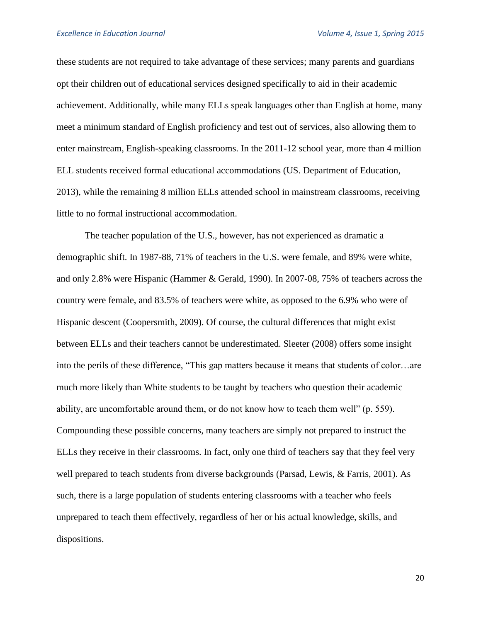these students are not required to take advantage of these services; many parents and guardians opt their children out of educational services designed specifically to aid in their academic achievement. Additionally, while many ELLs speak languages other than English at home, many meet a minimum standard of English proficiency and test out of services, also allowing them to enter mainstream, English-speaking classrooms. In the 2011-12 school year, more than 4 million ELL students received formal educational accommodations (US. Department of Education, 2013), while the remaining 8 million ELLs attended school in mainstream classrooms, receiving little to no formal instructional accommodation.

The teacher population of the U.S., however, has not experienced as dramatic a demographic shift. In 1987-88, 71% of teachers in the U.S. were female, and 89% were white, and only 2.8% were Hispanic (Hammer & Gerald, 1990). In 2007-08, 75% of teachers across the country were female, and 83.5% of teachers were white, as opposed to the 6.9% who were of Hispanic descent (Coopersmith, 2009). Of course, the cultural differences that might exist between ELLs and their teachers cannot be underestimated. Sleeter (2008) offers some insight into the perils of these difference, "This gap matters because it means that students of color…are much more likely than White students to be taught by teachers who question their academic ability, are uncomfortable around them, or do not know how to teach them well" (p. 559). Compounding these possible concerns, many teachers are simply not prepared to instruct the ELLs they receive in their classrooms. In fact, only one third of teachers say that they feel very well prepared to teach students from diverse backgrounds (Parsad, Lewis, & Farris, 2001). As such, there is a large population of students entering classrooms with a teacher who feels unprepared to teach them effectively, regardless of her or his actual knowledge, skills, and dispositions.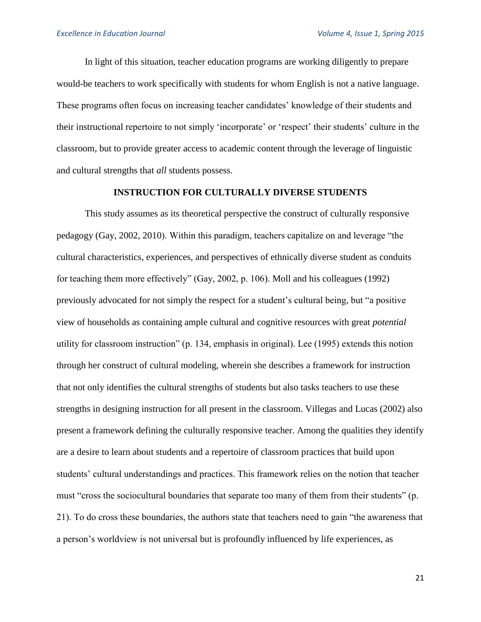In light of this situation, teacher education programs are working diligently to prepare would-be teachers to work specifically with students for whom English is not a native language. These programs often focus on increasing teacher candidates' knowledge of their students and their instructional repertoire to not simply 'incorporate' or 'respect' their students' culture in the classroom, but to provide greater access to academic content through the leverage of linguistic and cultural strengths that *all* students possess.

# **INSTRUCTION FOR CULTURALLY DIVERSE STUDENTS**

This study assumes as its theoretical perspective the construct of culturally responsive pedagogy (Gay, 2002, 2010). Within this paradigm, teachers capitalize on and leverage "the cultural characteristics, experiences, and perspectives of ethnically diverse student as conduits for teaching them more effectively" (Gay, 2002, p. 106). Moll and his colleagues (1992) previously advocated for not simply the respect for a student's cultural being, but "a positive view of households as containing ample cultural and cognitive resources with great *potential* utility for classroom instruction" (p. 134, emphasis in original). Lee (1995) extends this notion through her construct of cultural modeling, wherein she describes a framework for instruction that not only identifies the cultural strengths of students but also tasks teachers to use these strengths in designing instruction for all present in the classroom. Villegas and Lucas (2002) also present a framework defining the culturally responsive teacher. Among the qualities they identify are a desire to learn about students and a repertoire of classroom practices that build upon students' cultural understandings and practices. This framework relies on the notion that teacher must "cross the sociocultural boundaries that separate too many of them from their students" (p. 21). To do cross these boundaries, the authors state that teachers need to gain "the awareness that a person's worldview is not universal but is profoundly influenced by life experiences, as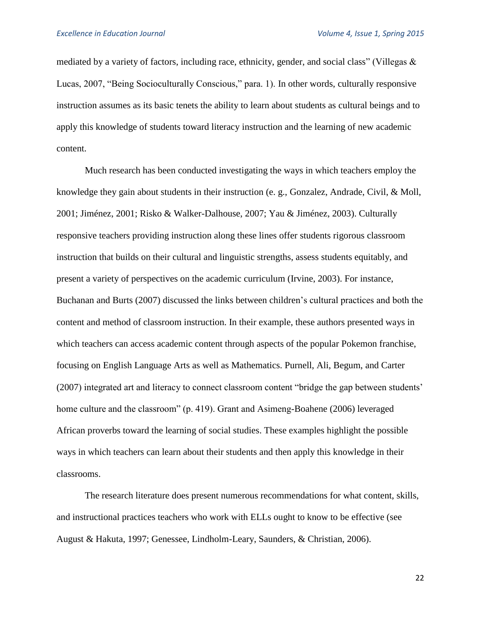mediated by a variety of factors, including race, ethnicity, gender, and social class" (Villegas  $\&$ Lucas, 2007, "Being Socioculturally Conscious," para. 1). In other words, culturally responsive instruction assumes as its basic tenets the ability to learn about students as cultural beings and to apply this knowledge of students toward literacy instruction and the learning of new academic content.

Much research has been conducted investigating the ways in which teachers employ the knowledge they gain about students in their instruction (e. g., Gonzalez, Andrade, Civil, & Moll, 2001; Jiménez, 2001; Risko & Walker-Dalhouse, 2007; Yau & Jiménez, 2003). Culturally responsive teachers providing instruction along these lines offer students rigorous classroom instruction that builds on their cultural and linguistic strengths, assess students equitably, and present a variety of perspectives on the academic curriculum (Irvine, 2003). For instance, Buchanan and Burts (2007) discussed the links between children's cultural practices and both the content and method of classroom instruction. In their example, these authors presented ways in which teachers can access academic content through aspects of the popular Pokemon franchise, focusing on English Language Arts as well as Mathematics. Purnell, Ali, Begum, and Carter (2007) integrated art and literacy to connect classroom content "bridge the gap between students' home culture and the classroom" (p. 419). Grant and Asimeng-Boahene (2006) leveraged African proverbs toward the learning of social studies. These examples highlight the possible ways in which teachers can learn about their students and then apply this knowledge in their classrooms.

The research literature does present numerous recommendations for what content, skills, and instructional practices teachers who work with ELLs ought to know to be effective (see August & Hakuta, 1997; Genessee, Lindholm-Leary, Saunders, & Christian, 2006).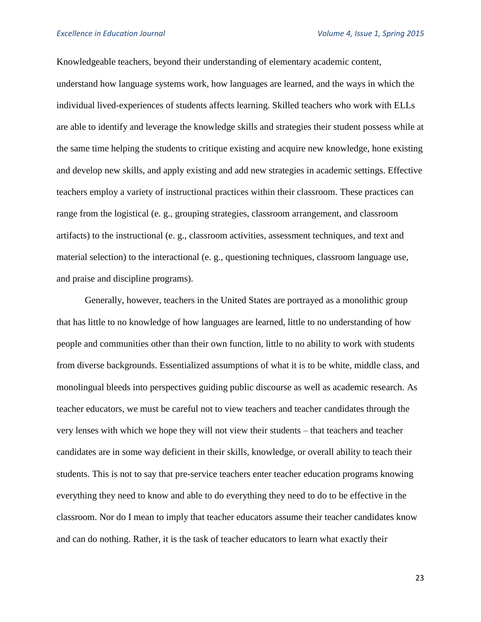Knowledgeable teachers, beyond their understanding of elementary academic content, understand how language systems work, how languages are learned, and the ways in which the individual lived-experiences of students affects learning. Skilled teachers who work with ELLs are able to identify and leverage the knowledge skills and strategies their student possess while at the same time helping the students to critique existing and acquire new knowledge, hone existing and develop new skills, and apply existing and add new strategies in academic settings. Effective teachers employ a variety of instructional practices within their classroom. These practices can range from the logistical (e. g., grouping strategies, classroom arrangement, and classroom artifacts) to the instructional (e. g., classroom activities, assessment techniques, and text and material selection) to the interactional (e. g., questioning techniques, classroom language use, and praise and discipline programs).

Generally, however, teachers in the United States are portrayed as a monolithic group that has little to no knowledge of how languages are learned, little to no understanding of how people and communities other than their own function, little to no ability to work with students from diverse backgrounds. Essentialized assumptions of what it is to be white, middle class, and monolingual bleeds into perspectives guiding public discourse as well as academic research. As teacher educators, we must be careful not to view teachers and teacher candidates through the very lenses with which we hope they will not view their students – that teachers and teacher candidates are in some way deficient in their skills, knowledge, or overall ability to teach their students. This is not to say that pre-service teachers enter teacher education programs knowing everything they need to know and able to do everything they need to do to be effective in the classroom. Nor do I mean to imply that teacher educators assume their teacher candidates know and can do nothing. Rather, it is the task of teacher educators to learn what exactly their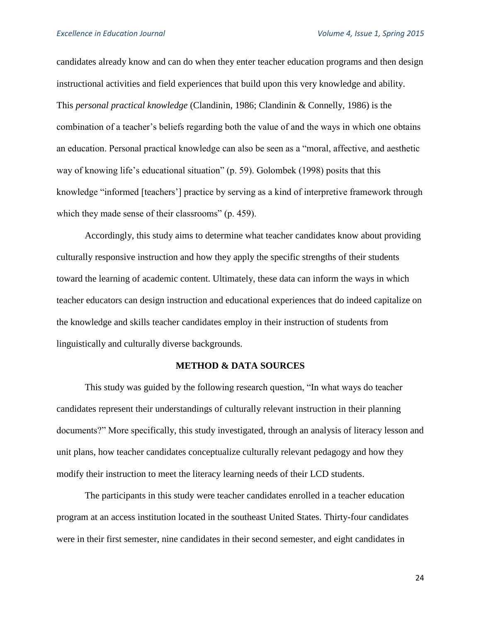candidates already know and can do when they enter teacher education programs and then design instructional activities and field experiences that build upon this very knowledge and ability. This *personal practical knowledge* (Clandinin, 1986; Clandinin & Connelly, 1986) is the combination of a teacher's beliefs regarding both the value of and the ways in which one obtains an education. Personal practical knowledge can also be seen as a "moral, affective, and aesthetic way of knowing life's educational situation" (p. 59). Golombek (1998) posits that this knowledge "informed [teachers'] practice by serving as a kind of interpretive framework through which they made sense of their classrooms" (p. 459).

Accordingly, this study aims to determine what teacher candidates know about providing culturally responsive instruction and how they apply the specific strengths of their students toward the learning of academic content. Ultimately, these data can inform the ways in which teacher educators can design instruction and educational experiences that do indeed capitalize on the knowledge and skills teacher candidates employ in their instruction of students from linguistically and culturally diverse backgrounds.

#### **METHOD & DATA SOURCES**

This study was guided by the following research question, "In what ways do teacher candidates represent their understandings of culturally relevant instruction in their planning documents?" More specifically, this study investigated, through an analysis of literacy lesson and unit plans, how teacher candidates conceptualize culturally relevant pedagogy and how they modify their instruction to meet the literacy learning needs of their LCD students.

The participants in this study were teacher candidates enrolled in a teacher education program at an access institution located in the southeast United States. Thirty-four candidates were in their first semester, nine candidates in their second semester, and eight candidates in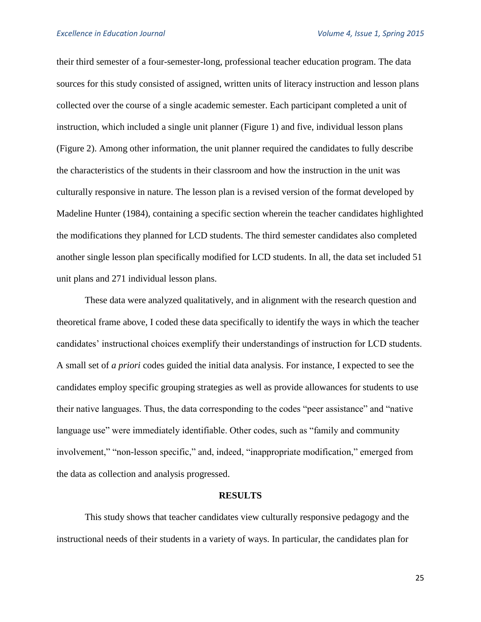their third semester of a four-semester-long, professional teacher education program. The data sources for this study consisted of assigned, written units of literacy instruction and lesson plans collected over the course of a single academic semester. Each participant completed a unit of instruction, which included a single unit planner (Figure 1) and five, individual lesson plans (Figure 2). Among other information, the unit planner required the candidates to fully describe the characteristics of the students in their classroom and how the instruction in the unit was culturally responsive in nature. The lesson plan is a revised version of the format developed by Madeline Hunter (1984), containing a specific section wherein the teacher candidates highlighted the modifications they planned for LCD students. The third semester candidates also completed another single lesson plan specifically modified for LCD students. In all, the data set included 51 unit plans and 271 individual lesson plans.

These data were analyzed qualitatively, and in alignment with the research question and theoretical frame above, I coded these data specifically to identify the ways in which the teacher candidates' instructional choices exemplify their understandings of instruction for LCD students. A small set of *a priori* codes guided the initial data analysis. For instance, I expected to see the candidates employ specific grouping strategies as well as provide allowances for students to use their native languages. Thus, the data corresponding to the codes "peer assistance" and "native language use" were immediately identifiable. Other codes, such as "family and community involvement," "non-lesson specific," and, indeed, "inappropriate modification," emerged from the data as collection and analysis progressed.

#### **RESULTS**

This study shows that teacher candidates view culturally responsive pedagogy and the instructional needs of their students in a variety of ways. In particular, the candidates plan for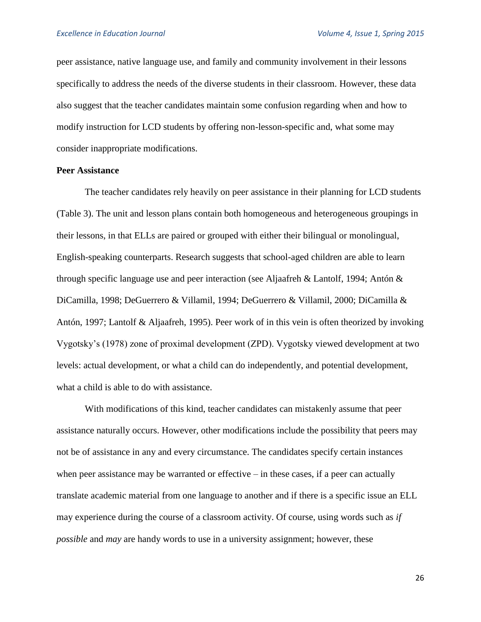peer assistance, native language use, and family and community involvement in their lessons specifically to address the needs of the diverse students in their classroom. However, these data also suggest that the teacher candidates maintain some confusion regarding when and how to modify instruction for LCD students by offering non-lesson-specific and, what some may consider inappropriate modifications.

#### **Peer Assistance**

The teacher candidates rely heavily on peer assistance in their planning for LCD students (Table 3). The unit and lesson plans contain both homogeneous and heterogeneous groupings in their lessons, in that ELLs are paired or grouped with either their bilingual or monolingual, English-speaking counterparts. Research suggests that school-aged children are able to learn through specific language use and peer interaction (see Aljaafreh & Lantolf, 1994; Antón & DiCamilla, 1998; DeGuerrero & Villamil, 1994; DeGuerrero & Villamil, 2000; DiCamilla & Antón, 1997; Lantolf & Aljaafreh, 1995). Peer work of in this vein is often theorized by invoking Vygotsky's (1978) zone of proximal development (ZPD). Vygotsky viewed development at two levels: actual development, or what a child can do independently, and potential development, what a child is able to do with assistance.

With modifications of this kind, teacher candidates can mistakenly assume that peer assistance naturally occurs. However, other modifications include the possibility that peers may not be of assistance in any and every circumstance. The candidates specify certain instances when peer assistance may be warranted or effective – in these cases, if a peer can actually translate academic material from one language to another and if there is a specific issue an ELL may experience during the course of a classroom activity. Of course, using words such as *if possible* and *may* are handy words to use in a university assignment; however, these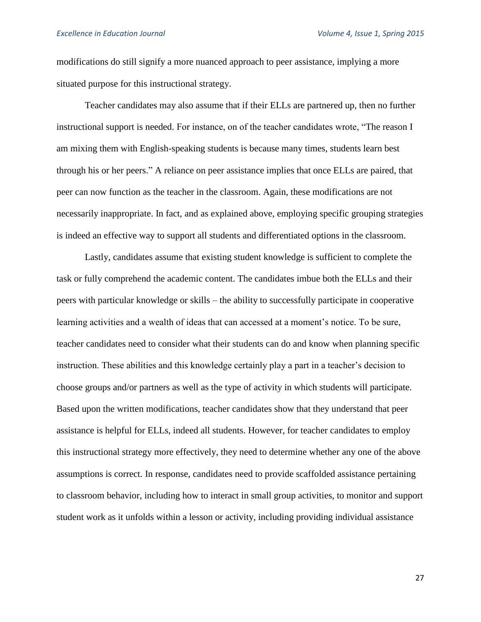modifications do still signify a more nuanced approach to peer assistance, implying a more situated purpose for this instructional strategy.

Teacher candidates may also assume that if their ELLs are partnered up, then no further instructional support is needed. For instance, on of the teacher candidates wrote, "The reason I am mixing them with English-speaking students is because many times, students learn best through his or her peers." A reliance on peer assistance implies that once ELLs are paired, that peer can now function as the teacher in the classroom. Again, these modifications are not necessarily inappropriate. In fact, and as explained above, employing specific grouping strategies is indeed an effective way to support all students and differentiated options in the classroom.

Lastly, candidates assume that existing student knowledge is sufficient to complete the task or fully comprehend the academic content. The candidates imbue both the ELLs and their peers with particular knowledge or skills – the ability to successfully participate in cooperative learning activities and a wealth of ideas that can accessed at a moment's notice. To be sure, teacher candidates need to consider what their students can do and know when planning specific instruction. These abilities and this knowledge certainly play a part in a teacher's decision to choose groups and/or partners as well as the type of activity in which students will participate. Based upon the written modifications, teacher candidates show that they understand that peer assistance is helpful for ELLs, indeed all students. However, for teacher candidates to employ this instructional strategy more effectively, they need to determine whether any one of the above assumptions is correct. In response, candidates need to provide scaffolded assistance pertaining to classroom behavior, including how to interact in small group activities, to monitor and support student work as it unfolds within a lesson or activity, including providing individual assistance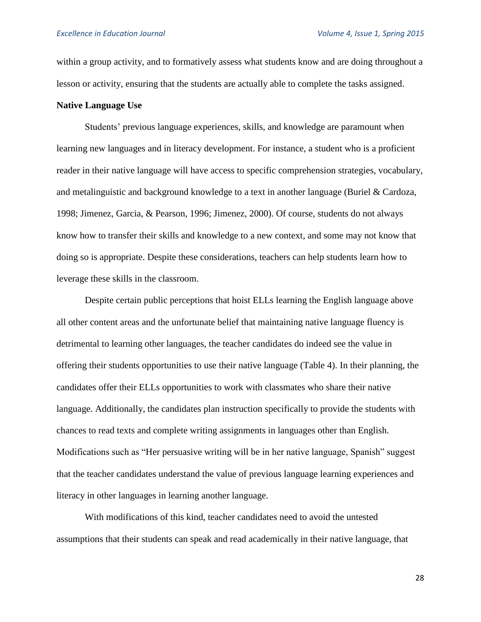within a group activity, and to formatively assess what students know and are doing throughout a lesson or activity, ensuring that the students are actually able to complete the tasks assigned.

#### **Native Language Use**

Students' previous language experiences, skills, and knowledge are paramount when learning new languages and in literacy development. For instance, a student who is a proficient reader in their native language will have access to specific comprehension strategies, vocabulary, and metalinguistic and background knowledge to a text in another language (Buriel & Cardoza, 1998; Jimenez, Garcia, & Pearson, 1996; Jimenez, 2000). Of course, students do not always know how to transfer their skills and knowledge to a new context, and some may not know that doing so is appropriate. Despite these considerations, teachers can help students learn how to leverage these skills in the classroom.

Despite certain public perceptions that hoist ELLs learning the English language above all other content areas and the unfortunate belief that maintaining native language fluency is detrimental to learning other languages, the teacher candidates do indeed see the value in offering their students opportunities to use their native language (Table 4). In their planning, the candidates offer their ELLs opportunities to work with classmates who share their native language. Additionally, the candidates plan instruction specifically to provide the students with chances to read texts and complete writing assignments in languages other than English. Modifications such as "Her persuasive writing will be in her native language, Spanish" suggest that the teacher candidates understand the value of previous language learning experiences and literacy in other languages in learning another language.

With modifications of this kind, teacher candidates need to avoid the untested assumptions that their students can speak and read academically in their native language, that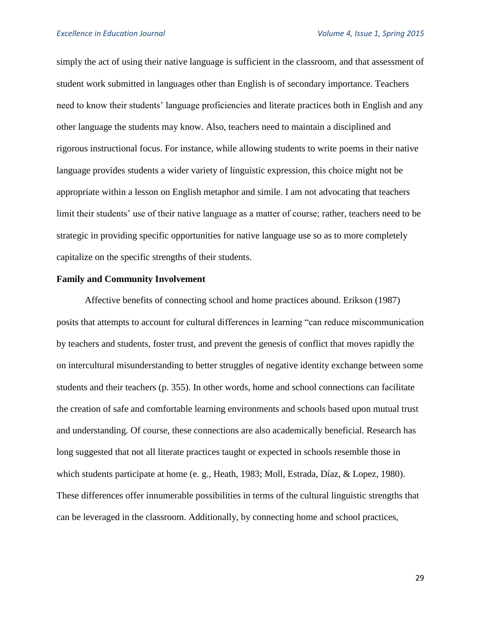simply the act of using their native language is sufficient in the classroom, and that assessment of student work submitted in languages other than English is of secondary importance. Teachers need to know their students' language proficiencies and literate practices both in English and any other language the students may know. Also, teachers need to maintain a disciplined and rigorous instructional focus. For instance, while allowing students to write poems in their native language provides students a wider variety of linguistic expression, this choice might not be appropriate within a lesson on English metaphor and simile. I am not advocating that teachers limit their students' use of their native language as a matter of course; rather, teachers need to be strategic in providing specific opportunities for native language use so as to more completely capitalize on the specific strengths of their students.

#### **Family and Community Involvement**

Affective benefits of connecting school and home practices abound. Erikson (1987) posits that attempts to account for cultural differences in learning "can reduce miscommunication by teachers and students, foster trust, and prevent the genesis of conflict that moves rapidly the on intercultural misunderstanding to better struggles of negative identity exchange between some students and their teachers (p. 355). In other words, home and school connections can facilitate the creation of safe and comfortable learning environments and schools based upon mutual trust and understanding. Of course, these connections are also academically beneficial. Research has long suggested that not all literate practices taught or expected in schools resemble those in which students participate at home (e. g., Heath, 1983; Moll, Estrada, Díaz, & Lopez, 1980). These differences offer innumerable possibilities in terms of the cultural linguistic strengths that can be leveraged in the classroom. Additionally, by connecting home and school practices,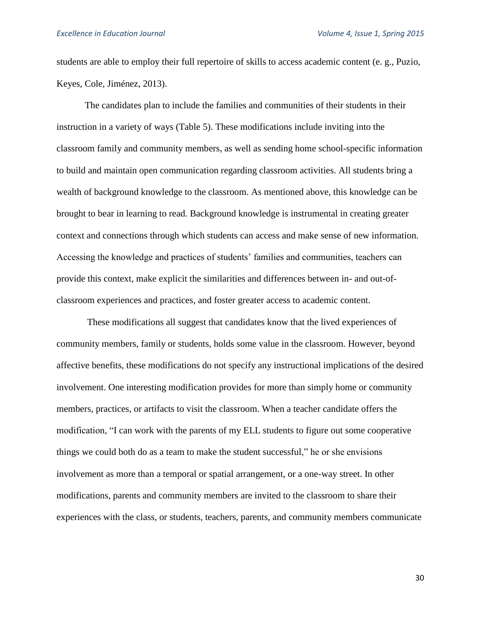students are able to employ their full repertoire of skills to access academic content (e. g., Puzio, Keyes, Cole, Jiménez, 2013).

The candidates plan to include the families and communities of their students in their instruction in a variety of ways (Table 5). These modifications include inviting into the classroom family and community members, as well as sending home school-specific information to build and maintain open communication regarding classroom activities. All students bring a wealth of background knowledge to the classroom. As mentioned above, this knowledge can be brought to bear in learning to read. Background knowledge is instrumental in creating greater context and connections through which students can access and make sense of new information. Accessing the knowledge and practices of students' families and communities, teachers can provide this context, make explicit the similarities and differences between in- and out-ofclassroom experiences and practices, and foster greater access to academic content.

These modifications all suggest that candidates know that the lived experiences of community members, family or students, holds some value in the classroom. However, beyond affective benefits, these modifications do not specify any instructional implications of the desired involvement. One interesting modification provides for more than simply home or community members, practices, or artifacts to visit the classroom. When a teacher candidate offers the modification, "I can work with the parents of my ELL students to figure out some cooperative things we could both do as a team to make the student successful," he or she envisions involvement as more than a temporal or spatial arrangement, or a one-way street. In other modifications, parents and community members are invited to the classroom to share their experiences with the class, or students, teachers, parents, and community members communicate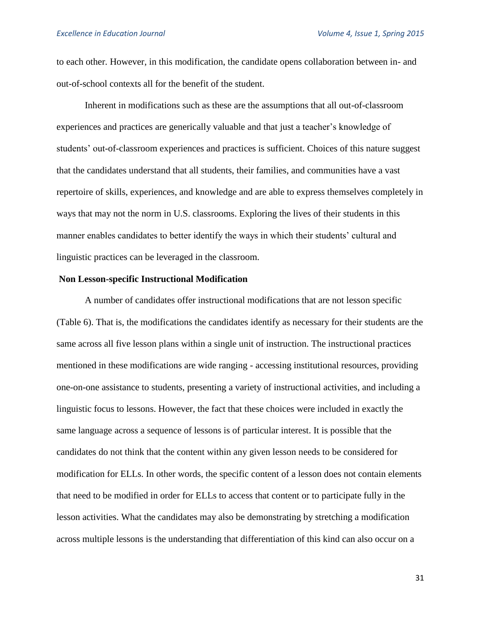to each other. However, in this modification, the candidate opens collaboration between in- and out-of-school contexts all for the benefit of the student.

Inherent in modifications such as these are the assumptions that all out-of-classroom experiences and practices are generically valuable and that just a teacher's knowledge of students' out-of-classroom experiences and practices is sufficient. Choices of this nature suggest that the candidates understand that all students, their families, and communities have a vast repertoire of skills, experiences, and knowledge and are able to express themselves completely in ways that may not the norm in U.S. classrooms. Exploring the lives of their students in this manner enables candidates to better identify the ways in which their students' cultural and linguistic practices can be leveraged in the classroom.

#### **Non Lesson-specific Instructional Modification**

A number of candidates offer instructional modifications that are not lesson specific (Table 6). That is, the modifications the candidates identify as necessary for their students are the same across all five lesson plans within a single unit of instruction. The instructional practices mentioned in these modifications are wide ranging - accessing institutional resources, providing one-on-one assistance to students, presenting a variety of instructional activities, and including a linguistic focus to lessons. However, the fact that these choices were included in exactly the same language across a sequence of lessons is of particular interest. It is possible that the candidates do not think that the content within any given lesson needs to be considered for modification for ELLs. In other words, the specific content of a lesson does not contain elements that need to be modified in order for ELLs to access that content or to participate fully in the lesson activities. What the candidates may also be demonstrating by stretching a modification across multiple lessons is the understanding that differentiation of this kind can also occur on a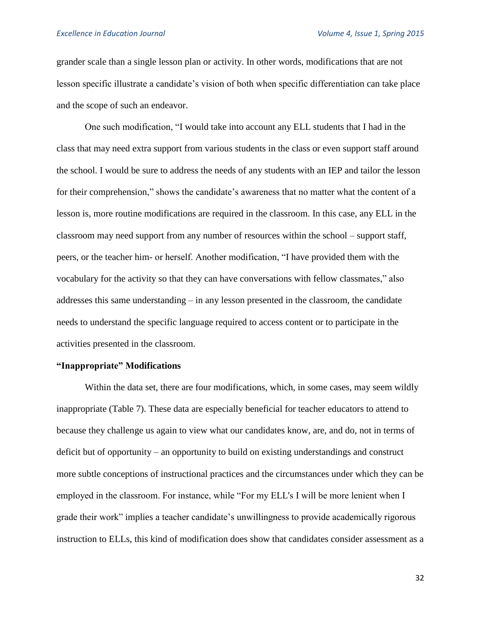grander scale than a single lesson plan or activity. In other words, modifications that are not lesson specific illustrate a candidate's vision of both when specific differentiation can take place and the scope of such an endeavor.

One such modification, "I would take into account any ELL students that I had in the class that may need extra support from various students in the class or even support staff around the school. I would be sure to address the needs of any students with an IEP and tailor the lesson for their comprehension," shows the candidate's awareness that no matter what the content of a lesson is, more routine modifications are required in the classroom. In this case, any ELL in the classroom may need support from any number of resources within the school – support staff, peers, or the teacher him- or herself. Another modification, "I have provided them with the vocabulary for the activity so that they can have conversations with fellow classmates," also addresses this same understanding – in any lesson presented in the classroom, the candidate needs to understand the specific language required to access content or to participate in the activities presented in the classroom.

#### **"Inappropriate" Modifications**

Within the data set, there are four modifications, which, in some cases, may seem wildly inappropriate (Table 7). These data are especially beneficial for teacher educators to attend to because they challenge us again to view what our candidates know, are, and do, not in terms of deficit but of opportunity – an opportunity to build on existing understandings and construct more subtle conceptions of instructional practices and the circumstances under which they can be employed in the classroom. For instance, while "For my ELL's I will be more lenient when I grade their work" implies a teacher candidate's unwillingness to provide academically rigorous instruction to ELLs, this kind of modification does show that candidates consider assessment as a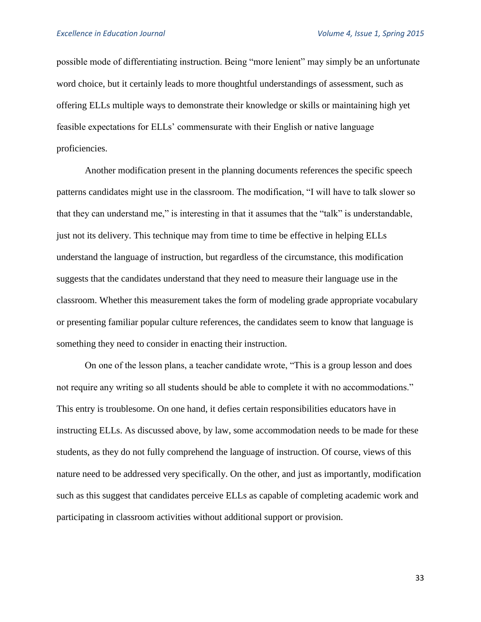possible mode of differentiating instruction. Being "more lenient" may simply be an unfortunate word choice, but it certainly leads to more thoughtful understandings of assessment, such as offering ELLs multiple ways to demonstrate their knowledge or skills or maintaining high yet feasible expectations for ELLs' commensurate with their English or native language proficiencies.

Another modification present in the planning documents references the specific speech patterns candidates might use in the classroom. The modification, "I will have to talk slower so that they can understand me," is interesting in that it assumes that the "talk" is understandable, just not its delivery. This technique may from time to time be effective in helping ELLs understand the language of instruction, but regardless of the circumstance, this modification suggests that the candidates understand that they need to measure their language use in the classroom. Whether this measurement takes the form of modeling grade appropriate vocabulary or presenting familiar popular culture references, the candidates seem to know that language is something they need to consider in enacting their instruction.

On one of the lesson plans, a teacher candidate wrote, "This is a group lesson and does not require any writing so all students should be able to complete it with no accommodations." This entry is troublesome. On one hand, it defies certain responsibilities educators have in instructing ELLs. As discussed above, by law, some accommodation needs to be made for these students, as they do not fully comprehend the language of instruction. Of course, views of this nature need to be addressed very specifically. On the other, and just as importantly, modification such as this suggest that candidates perceive ELLs as capable of completing academic work and participating in classroom activities without additional support or provision.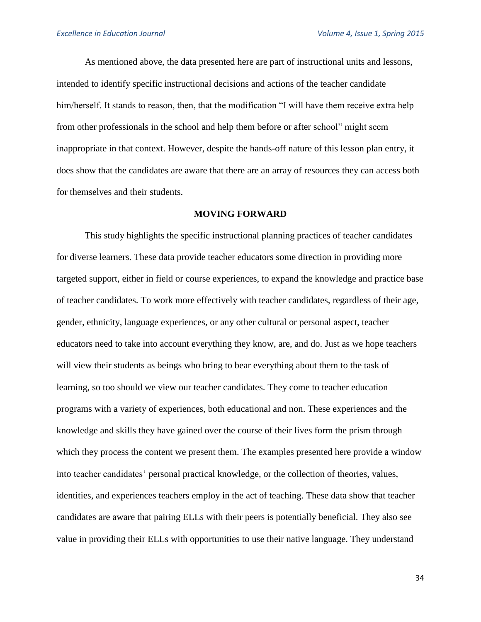As mentioned above, the data presented here are part of instructional units and lessons, intended to identify specific instructional decisions and actions of the teacher candidate him/herself. It stands to reason, then, that the modification "I will have them receive extra help from other professionals in the school and help them before or after school" might seem inappropriate in that context. However, despite the hands-off nature of this lesson plan entry, it does show that the candidates are aware that there are an array of resources they can access both for themselves and their students.

### **MOVING FORWARD**

This study highlights the specific instructional planning practices of teacher candidates for diverse learners. These data provide teacher educators some direction in providing more targeted support, either in field or course experiences, to expand the knowledge and practice base of teacher candidates. To work more effectively with teacher candidates, regardless of their age, gender, ethnicity, language experiences, or any other cultural or personal aspect, teacher educators need to take into account everything they know, are, and do. Just as we hope teachers will view their students as beings who bring to bear everything about them to the task of learning, so too should we view our teacher candidates. They come to teacher education programs with a variety of experiences, both educational and non. These experiences and the knowledge and skills they have gained over the course of their lives form the prism through which they process the content we present them. The examples presented here provide a window into teacher candidates' personal practical knowledge, or the collection of theories, values, identities, and experiences teachers employ in the act of teaching. These data show that teacher candidates are aware that pairing ELLs with their peers is potentially beneficial. They also see value in providing their ELLs with opportunities to use their native language. They understand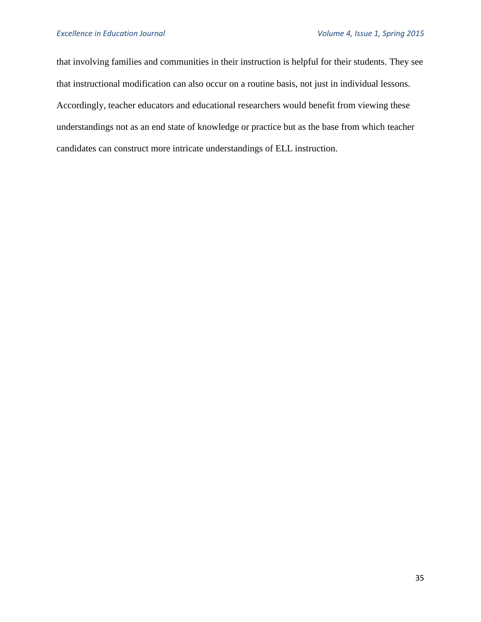that involving families and communities in their instruction is helpful for their students. They see that instructional modification can also occur on a routine basis, not just in individual lessons. Accordingly, teacher educators and educational researchers would benefit from viewing these understandings not as an end state of knowledge or practice but as the base from which teacher candidates can construct more intricate understandings of ELL instruction.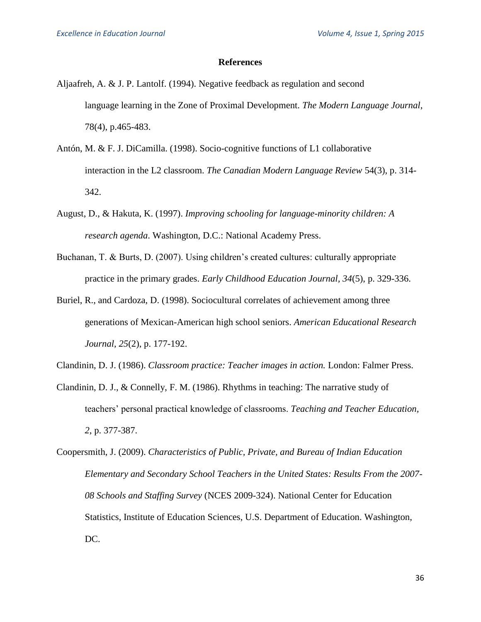#### **References**

- Aljaafreh, A. & J. P. Lantolf. (1994). Negative feedback as regulation and second language learning in the Zone of Proximal Development. *The Modern Language Journal*, 78(4), p.465-483.
- Antón, M. & F. J. DiCamilla. (1998). Socio-cognitive functions of L1 collaborative interaction in the L2 classroom. *The Canadian Modern Language Review* 54(3), p. 314- 342.
- August, D., & Hakuta, K. (1997). *Improving schooling for language-minority children: A research agenda*. Washington, D.C.: National Academy Press.
- Buchanan, T. & Burts, D. (2007). Using children's created cultures: culturally appropriate practice in the primary grades. *Early Childhood Education Journal, 34*(5), p. 329-336.
- Buriel, R., and Cardoza, D. (1998). Sociocultural correlates of achievement among three generations of Mexican-American high school seniors. *American Educational Research Journal, 25*(2), p. 177-192.
- Clandinin, D. J. (1986). *Classroom practice: Teacher images in action.* London: Falmer Press.
- Clandinin, D. J., & Connelly, F. M. (1986). Rhythms in teaching: The narrative study of teachers' personal practical knowledge of classrooms. *Teaching and Teacher Education, 2*, p. 377-387.
- Coopersmith, J. (2009). *Characteristics of Public, Private, and Bureau of Indian Education Elementary and Secondary School Teachers in the United States: Results From the 2007- 08 Schools and Staffing Survey* (NCES 2009-324). National Center for Education Statistics, Institute of Education Sciences, U.S. Department of Education. Washington, DC.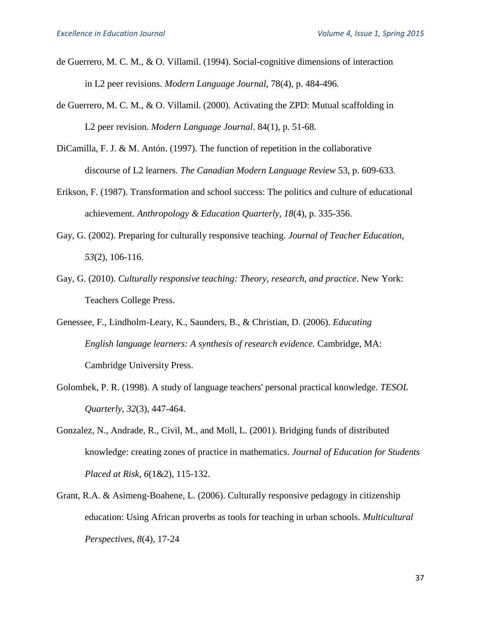- de Guerrero, M. C. M., & O. Villamil. (1994). Social-cognitive dimensions of interaction in L2 peer revisions. *Modern Language Journal*, 78(4), p. 484-496.
- de Guerrero, M. C. M., & O. Villamil. (2000). Activating the ZPD: Mutual scaffolding in L2 peer revision. *Modern Language Journal*. 84(1), p. 51-68.
- DiCamilla, F. J. & M. Antón. (1997). The function of repetition in the collaborative discourse of L2 learners. *The Canadian Modern Language Review* 53, p. 609-633.
- Erikson, F. (1987). Transformation and school success: The politics and culture of educational achievement. *Anthropology & Education Quarterly, 18*(4), p. 335-356.
- Gay, G. (2002). Preparing for culturally responsive teaching. *Journal of Teacher Education, 53*(2), 106-116.
- Gay, G. (2010). *Culturally responsive teaching: Theory, research, and practice*. New York: Teachers College Press.
- Genessee, F., Lindholm-Leary, K., Saunders, B., & Christian, D. (2006). *Educating English language learners: A synthesis of research evidence.* Cambridge, MA: Cambridge University Press.
- Golombek, P. R. (1998). A study of language teachers' personal practical knowledge. *TESOL Quarterly, 32*(3), 447-464.
- Gonzalez, N., Andrade, R., Civil, M., and Moll, L. (2001). Bridging funds of distributed knowledge: creating zones of practice in mathematics. *Journal of Education for Students Placed at Risk, 6*(1&2), 115-132.
- Grant, R.A. & Asimeng-Boahene, L. (2006). Culturally responsive pedagogy in citizenship education: Using African proverbs as tools for teaching in urban schools. *Multicultural Perspectives, 8*(4), 17-24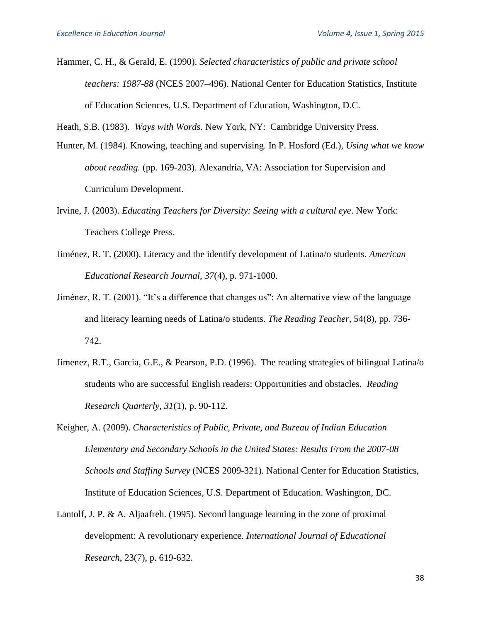Hammer, C. H., & Gerald, E. (1990). *Selected characteristics of public and private school teachers: 1987-88* (NCES 2007–496). National Center for Education Statistics, Institute of Education Sciences, U.S. Department of Education, Washington, D.C.

Heath, S.B. (1983). *Ways with Words.* New York, NY: Cambridge University Press.

- Hunter, M. (1984). Knowing, teaching and supervising. In P. Hosford (Ed.), *Using what we know about reading.* (pp. 169-203). Alexandria, VA: Association for Supervision and Curriculum Development.
- Irvine, J. (2003). *Educating Teachers for Diversity: Seeing with a cultural eye*. New York: Teachers College Press.
- Jiménez, R. T. (2000). Literacy and the identify development of Latina/o students. *American Educational Research Journal, 37*(4), p. 971-1000.
- Jiménez, R. T. (2001). "It's a difference that changes us": An alternative view of the language and literacy learning needs of Latina/o students. *The Reading Teacher*, 54(8), pp. 736- 742.
- Jimenez, R.T., Garcia, G.E., & Pearson, P.D. (1996). The reading strategies of bilingual Latina/o students who are successful English readers: Opportunities and obstacles. *Reading Research Quarterly, 31*(1), p. 90-112.
- Keigher, A. (2009). *Characteristics of Public, Private, and Bureau of Indian Education Elementary and Secondary Schools in the United States: Results From the 2007-08 Schools and Staffing Survey* (NCES 2009-321). National Center for Education Statistics, Institute of Education Sciences, U.S. Department of Education. Washington, DC.
- Lantolf, J. P. & A. Aljaafreh. (1995). Second language learning in the zone of proximal development: A revolutionary experience*. International Journal of Educational Research*, 23(7), p. 619-632.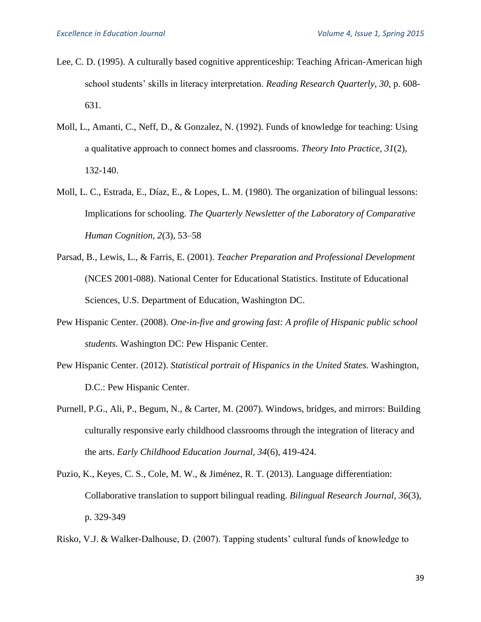- Lee, C. D. (1995). A culturally based cognitive apprenticeship: Teaching African-American high school students' skills in literacy interpretation. *Reading Research Quarterly, 30*, p. 608- 631.
- Moll, L., Amanti, C., Neff, D., & Gonzalez, N. (1992). Funds of knowledge for teaching: Using a qualitative approach to connect homes and classrooms. *Theory Into Practice, 31*(2), 132-140.
- Moll, L. C., Estrada, E., Díaz, E., & Lopes, L. M. (1980). The organization of bilingual lessons: Implications for schooling. *The Quarterly Newsletter of the Laboratory of Comparative Human Cognition, 2*(3), 53–58
- Parsad, B., Lewis, L., & Farris, E. (2001). *Teacher Preparation and Professional Development* (NCES 2001-088). National Center for Educational Statistics. Institute of Educational Sciences, U.S. Department of Education, Washington DC.
- Pew Hispanic Center. (2008). *One-in-five and growing fast: A profile of Hispanic public school students.* Washington DC: Pew Hispanic Center.
- Pew Hispanic Center. (2012). *Statistical portrait of Hispanics in the United States.* Washington, D.C.: Pew Hispanic Center.
- Purnell, P.G., Ali, P., Begum, N., & Carter, M. (2007). Windows, bridges, and mirrors: Building culturally responsive early childhood classrooms through the integration of literacy and the arts. *Early Childhood Education Journal, 34*(6), 419-424.
- Puzio, K., Keyes, C. S., Cole, M. W., & Jiménez, R. T. (2013). Language differentiation: Collaborative translation to support bilingual reading. *Bilingual Research Journal, 36*(3), p. 329-349
- Risko, V.J. & Walker-Dalhouse, D. (2007). Tapping students' cultural funds of knowledge to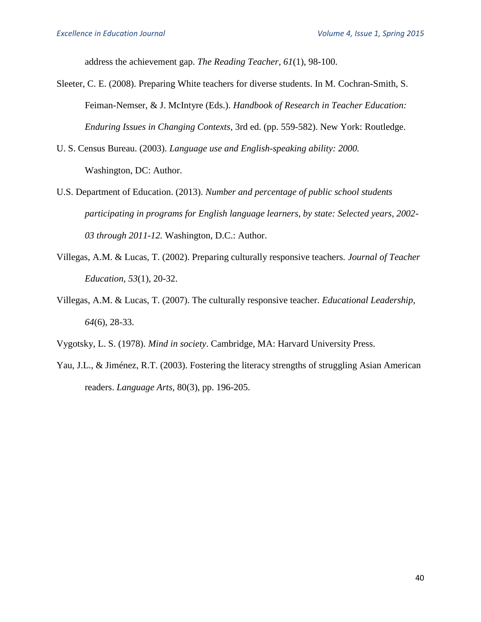address the achievement gap. *The Reading Teacher, 61*(1), 98-100.

- Sleeter, C. E. (2008). Preparing White teachers for diverse students. In M. Cochran-Smith, S. Feiman-Nemser, & J. McIntyre (Eds.). *Handbook of Research in Teacher Education: Enduring Issues in Changing Contexts*, 3rd ed. (pp. 559-582). New York: Routledge.
- U. S. Census Bureau. (2003). *Language use and English-speaking ability: 2000.* Washington, DC: Author.
- U.S. Department of Education. (2013). *Number and percentage of public school students participating in programs for English language learners, by state: Selected years, 2002- 03 through 2011-12.* Washington, D.C.: Author.
- Villegas, A.M. & Lucas, T. (2002). Preparing culturally responsive teachers. *Journal of Teacher Education, 53*(1), 20-32.
- Villegas, A.M. & Lucas, T. (2007). The culturally responsive teacher. *Educational Leadership, 64*(6), 28-33.
- Vygotsky, L. S. (1978). *Mind in society*. Cambridge, MA: Harvard University Press.
- Yau, J.L., & Jiménez, R.T. (2003). Fostering the literacy strengths of struggling Asian American readers. *Language Arts,* 80(3), pp. 196-205.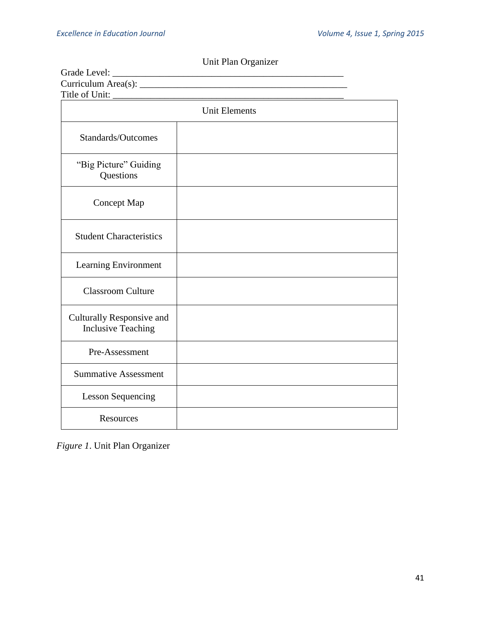| Title of Unit:                                         |  |  |
|--------------------------------------------------------|--|--|
| <b>Unit Elements</b>                                   |  |  |
| Standards/Outcomes                                     |  |  |
| "Big Picture" Guiding<br>Questions                     |  |  |
| Concept Map                                            |  |  |
| <b>Student Characteristics</b>                         |  |  |
| Learning Environment                                   |  |  |
| <b>Classroom Culture</b>                               |  |  |
| Culturally Responsive and<br><b>Inclusive Teaching</b> |  |  |
| Pre-Assessment                                         |  |  |
| <b>Summative Assessment</b>                            |  |  |
| <b>Lesson Sequencing</b>                               |  |  |
| Resources                                              |  |  |

Unit Plan Organizer

*Figure 1*. Unit Plan Organizer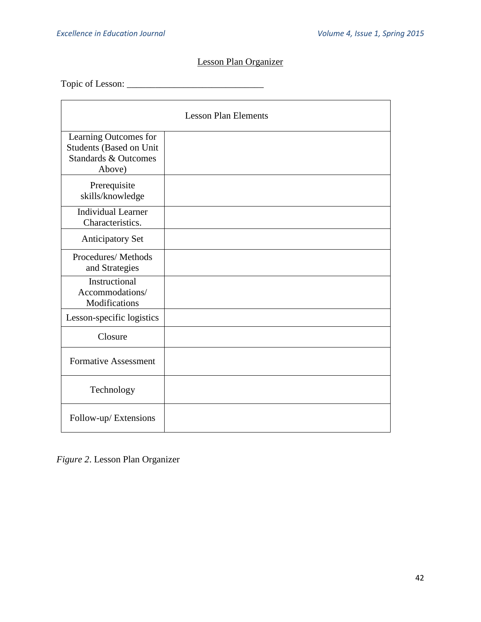# Lesson Plan Organizer

Topic of Lesson: \_\_\_\_\_\_\_\_\_\_\_\_\_\_\_\_\_\_\_\_\_\_\_\_\_\_\_\_\_

| <b>Lesson Plan Elements</b>                                                                   |  |
|-----------------------------------------------------------------------------------------------|--|
| Learning Outcomes for<br>Students (Based on Unit<br><b>Standards &amp; Outcomes</b><br>Above) |  |
| Prerequisite<br>skills/knowledge                                                              |  |
| <b>Individual Learner</b><br>Characteristics.                                                 |  |
| <b>Anticipatory Set</b>                                                                       |  |
| Procedures/Methods<br>and Strategies                                                          |  |
| Instructional<br>Accommodations/<br>Modifications                                             |  |
| Lesson-specific logistics                                                                     |  |
| Closure                                                                                       |  |
| <b>Formative Assessment</b>                                                                   |  |
| Technology                                                                                    |  |
| Follow-up/Extensions                                                                          |  |

*Figure 2*. Lesson Plan Organizer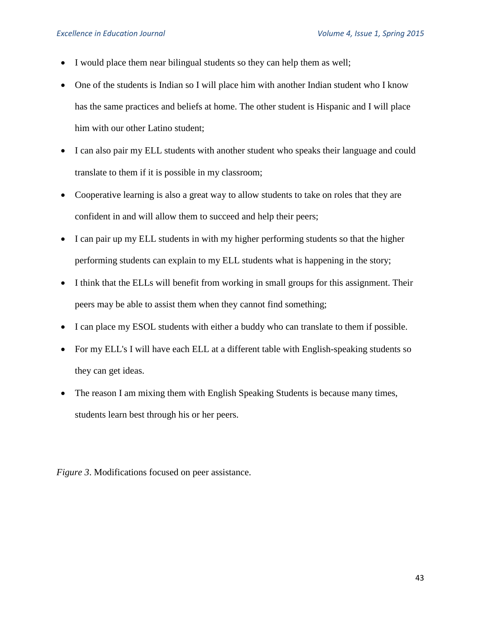- I would place them near bilingual students so they can help them as well;
- One of the students is Indian so I will place him with another Indian student who I know has the same practices and beliefs at home. The other student is Hispanic and I will place him with our other Latino student;
- I can also pair my ELL students with another student who speaks their language and could translate to them if it is possible in my classroom;
- Cooperative learning is also a great way to allow students to take on roles that they are confident in and will allow them to succeed and help their peers;
- I can pair up my ELL students in with my higher performing students so that the higher performing students can explain to my ELL students what is happening in the story;
- I think that the ELLs will benefit from working in small groups for this assignment. Their peers may be able to assist them when they cannot find something;
- I can place my ESOL students with either a buddy who can translate to them if possible.
- For my ELL's I will have each ELL at a different table with English-speaking students so they can get ideas.
- The reason I am mixing them with English Speaking Students is because many times, students learn best through his or her peers.

*Figure 3*. Modifications focused on peer assistance.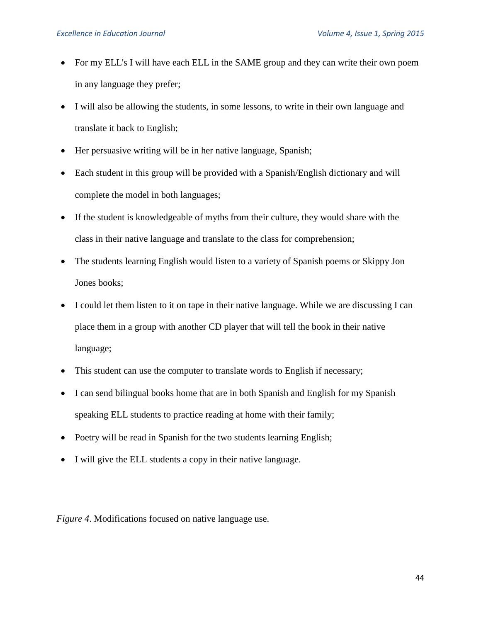- For my ELL's I will have each ELL in the SAME group and they can write their own poem in any language they prefer;
- I will also be allowing the students, in some lessons, to write in their own language and translate it back to English;
- Her persuasive writing will be in her native language, Spanish;
- Each student in this group will be provided with a Spanish/English dictionary and will complete the model in both languages;
- If the student is knowledgeable of myths from their culture, they would share with the class in their native language and translate to the class for comprehension;
- The students learning English would listen to a variety of Spanish poems or Skippy Jon Jones books;
- I could let them listen to it on tape in their native language. While we are discussing I can place them in a group with another CD player that will tell the book in their native language;
- This student can use the computer to translate words to English if necessary;
- I can send bilingual books home that are in both Spanish and English for my Spanish speaking ELL students to practice reading at home with their family;
- Poetry will be read in Spanish for the two students learning English;
- I will give the ELL students a copy in their native language.

*Figure 4*. Modifications focused on native language use.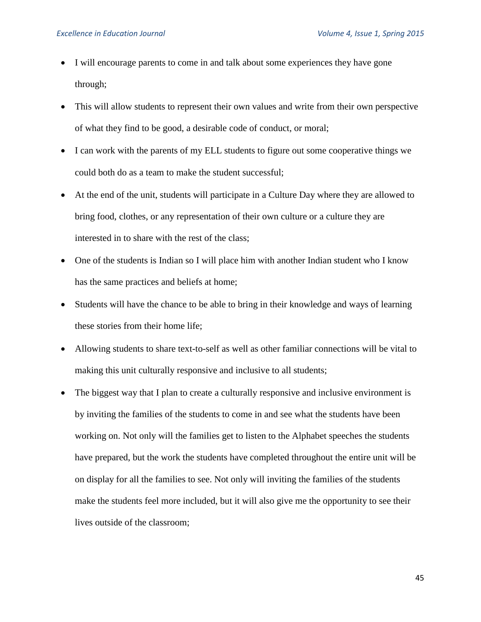- I will encourage parents to come in and talk about some experiences they have gone through;
- This will allow students to represent their own values and write from their own perspective of what they find to be good, a desirable code of conduct, or moral;
- I can work with the parents of my ELL students to figure out some cooperative things we could both do as a team to make the student successful;
- At the end of the unit, students will participate in a Culture Day where they are allowed to bring food, clothes, or any representation of their own culture or a culture they are interested in to share with the rest of the class;
- One of the students is Indian so I will place him with another Indian student who I know has the same practices and beliefs at home;
- Students will have the chance to be able to bring in their knowledge and ways of learning these stories from their home life;
- Allowing students to share text-to-self as well as other familiar connections will be vital to making this unit culturally responsive and inclusive to all students;
- The biggest way that I plan to create a culturally responsive and inclusive environment is by inviting the families of the students to come in and see what the students have been working on. Not only will the families get to listen to the Alphabet speeches the students have prepared, but the work the students have completed throughout the entire unit will be on display for all the families to see. Not only will inviting the families of the students make the students feel more included, but it will also give me the opportunity to see their lives outside of the classroom;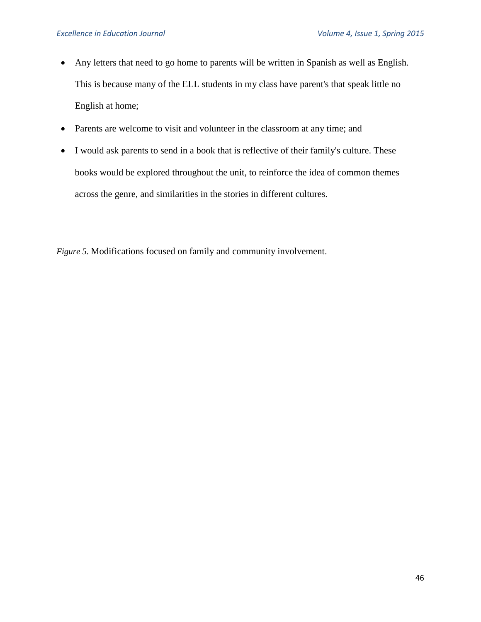- Any letters that need to go home to parents will be written in Spanish as well as English. This is because many of the ELL students in my class have parent's that speak little no English at home;
- Parents are welcome to visit and volunteer in the classroom at any time; and
- I would ask parents to send in a book that is reflective of their family's culture. These books would be explored throughout the unit, to reinforce the idea of common themes across the genre, and similarities in the stories in different cultures.

*Figure 5*. Modifications focused on family and community involvement.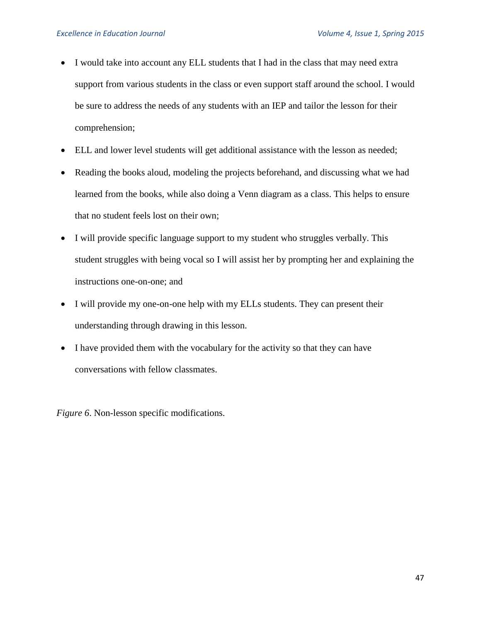- I would take into account any ELL students that I had in the class that may need extra support from various students in the class or even support staff around the school. I would be sure to address the needs of any students with an IEP and tailor the lesson for their comprehension;
- ELL and lower level students will get additional assistance with the lesson as needed;
- Reading the books aloud, modeling the projects beforehand, and discussing what we had learned from the books, while also doing a Venn diagram as a class. This helps to ensure that no student feels lost on their own;
- I will provide specific language support to my student who struggles verbally. This student struggles with being vocal so I will assist her by prompting her and explaining the instructions one-on-one; and
- I will provide my one-on-one help with my ELLs students. They can present their understanding through drawing in this lesson.
- I have provided them with the vocabulary for the activity so that they can have conversations with fellow classmates.

*Figure 6*. Non-lesson specific modifications.